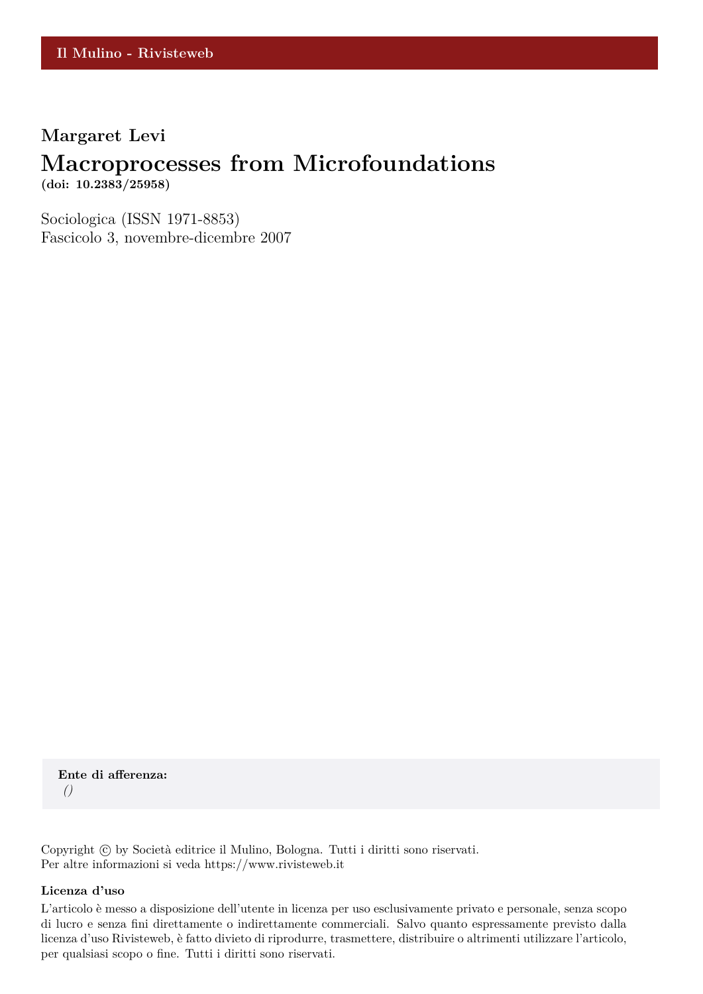### **Margaret Levi**

## **Macroprocesses from Microfoundations**

**(doi: 10.2383/25958)**

Sociologica (ISSN 1971-8853) Fascicolo 3, novembre-dicembre 2007

**Ente di afferenza:** *()*

Copyright © by Società editrice il Mulino, Bologna. Tutti i diritti sono riservati. Per altre informazioni si veda https://www.rivisteweb.it

#### **Licenza d'uso**

L'articolo è messo a disposizione dell'utente in licenza per uso esclusivamente privato e personale, senza scopo di lucro e senza fini direttamente o indirettamente commerciali. Salvo quanto espressamente previsto dalla licenza d'uso Rivisteweb, è fatto divieto di riprodurre, trasmettere, distribuire o altrimenti utilizzare l'articolo, per qualsiasi scopo o fine. Tutti i diritti sono riservati.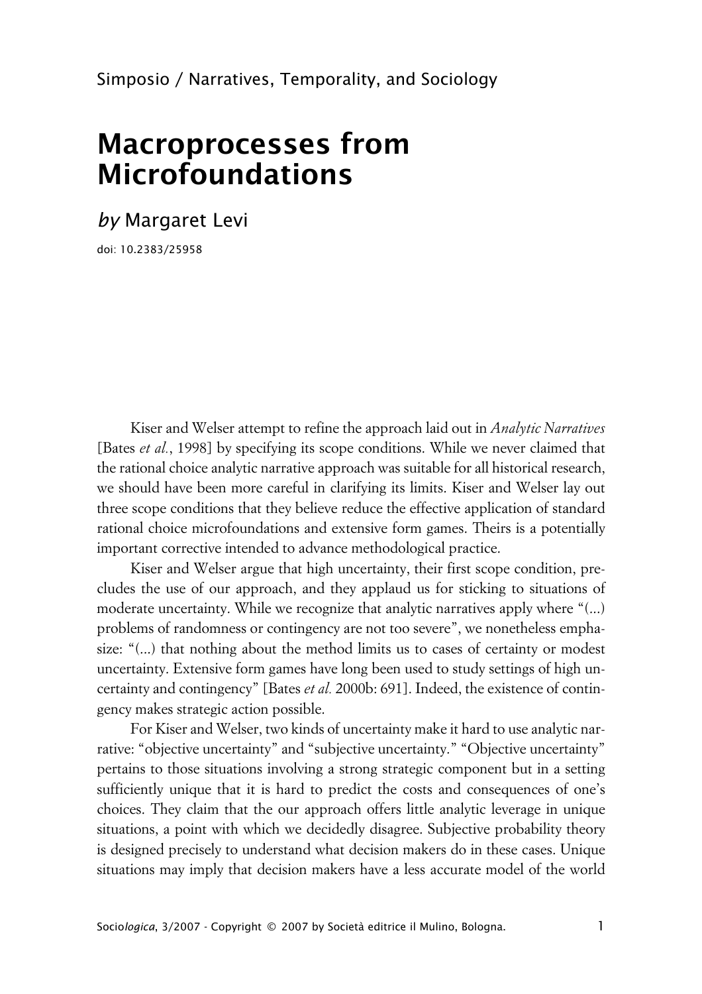# **Macroprocesses from Microfoundations**

*by* Margaret Levi

doi: 10.2383/25958

Kiser and Welser attempt to refine the approach laid out in *Analytic Narratives* [Bates *et al.*, 1998] by specifying its scope conditions. While we never claimed that the rational choice analytic narrative approach was suitable for all historical research, we should have been more careful in clarifying its limits. Kiser and Welser lay out three scope conditions that they believe reduce the effective application of standard rational choice microfoundations and extensive form games. Theirs is a potentially important corrective intended to advance methodological practice.

Kiser and Welser argue that high uncertainty, their first scope condition, precludes the use of our approach, and they applaud us for sticking to situations of moderate uncertainty. While we recognize that analytic narratives apply where "(...) problems of randomness or contingency are not too severe", we nonetheless emphasize: "(...) that nothing about the method limits us to cases of certainty or modest uncertainty. Extensive form games have long been used to study settings of high uncertainty and contingency" [Bates *et al.* 2000b: 691]. Indeed, the existence of contingency makes strategic action possible.

For Kiser and Welser, two kinds of uncertainty make it hard to use analytic narrative: "objective uncertainty" and "subjective uncertainty." "Objective uncertainty" pertains to those situations involving a strong strategic component but in a setting sufficiently unique that it is hard to predict the costs and consequences of one's choices. They claim that the our approach offers little analytic leverage in unique situations, a point with which we decidedly disagree. Subjective probability theory is designed precisely to understand what decision makers do in these cases. Unique situations may imply that decision makers have a less accurate model of the world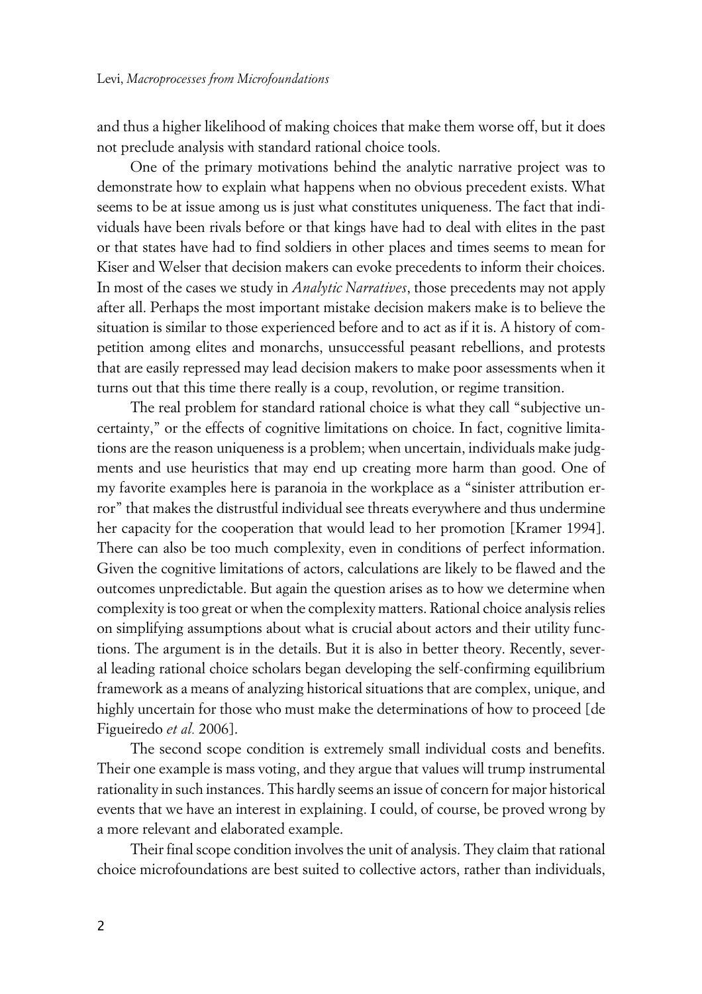and thus a higher likelihood of making choices that make them worse off, but it does not preclude analysis with standard rational choice tools.

One of the primary motivations behind the analytic narrative project was to demonstrate how to explain what happens when no obvious precedent exists. What seems to be at issue among us is just what constitutes uniqueness. The fact that individuals have been rivals before or that kings have had to deal with elites in the past or that states have had to find soldiers in other places and times seems to mean for Kiser and Welser that decision makers can evoke precedents to inform their choices. In most of the cases we study in *Analytic Narratives*, those precedents may not apply after all. Perhaps the most important mistake decision makers make is to believe the situation is similar to those experienced before and to act as if it is. A history of competition among elites and monarchs, unsuccessful peasant rebellions, and protests that are easily repressed may lead decision makers to make poor assessments when it turns out that this time there really is a coup, revolution, or regime transition.

The real problem for standard rational choice is what they call "subjective uncertainty," or the effects of cognitive limitations on choice. In fact, cognitive limitations are the reason uniqueness is a problem; when uncertain, individuals make judgments and use heuristics that may end up creating more harm than good. One of my favorite examples here is paranoia in the workplace as a "sinister attribution error" that makes the distrustful individual see threats everywhere and thus undermine her capacity for the cooperation that would lead to her promotion [Kramer 1994]. There can also be too much complexity, even in conditions of perfect information. Given the cognitive limitations of actors, calculations are likely to be flawed and the outcomes unpredictable. But again the question arises as to how we determine when complexity is too great or when the complexity matters. Rational choice analysis relies on simplifying assumptions about what is crucial about actors and their utility functions. The argument is in the details. But it is also in better theory. Recently, several leading rational choice scholars began developing the self-confirming equilibrium framework as a means of analyzing historical situations that are complex, unique, and highly uncertain for those who must make the determinations of how to proceed [de Figueiredo *et al.* 2006].

The second scope condition is extremely small individual costs and benefits. Their one example is mass voting, and they argue that values will trump instrumental rationality in such instances. This hardly seems an issue of concern for major historical events that we have an interest in explaining. I could, of course, be proved wrong by a more relevant and elaborated example.

Their final scope condition involves the unit of analysis. They claim that rational choice microfoundations are best suited to collective actors, rather than individuals,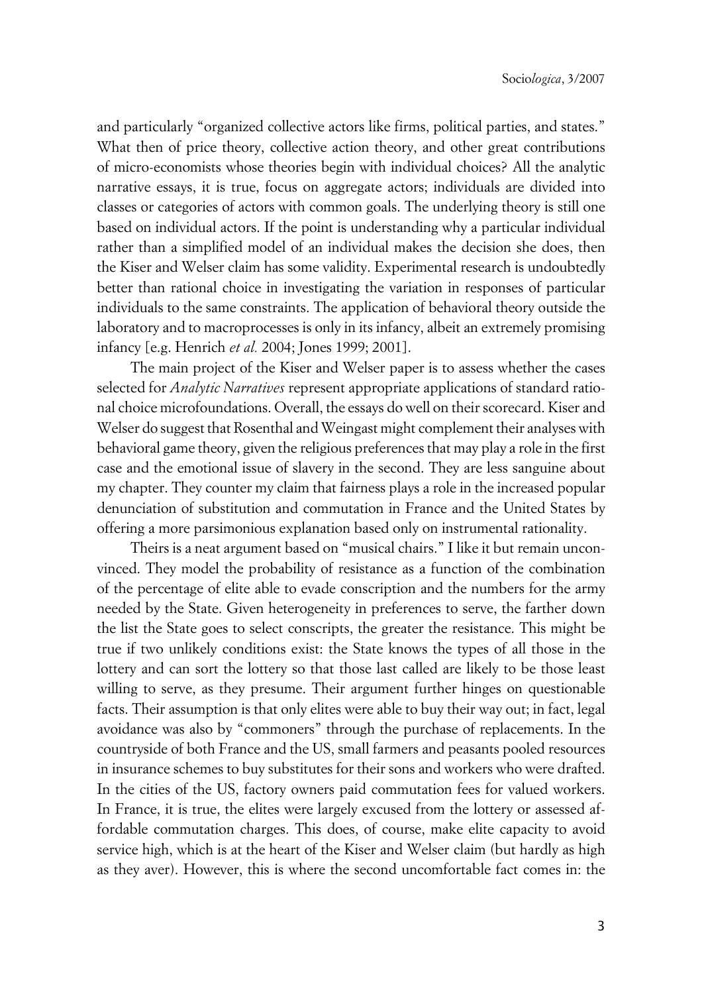and particularly "organized collective actors like firms, political parties, and states." What then of price theory, collective action theory, and other great contributions of micro-economists whose theories begin with individual choices? All the analytic narrative essays, it is true, focus on aggregate actors; individuals are divided into classes or categories of actors with common goals. The underlying theory is still one based on individual actors. If the point is understanding why a particular individual rather than a simplified model of an individual makes the decision she does, then the Kiser and Welser claim has some validity. Experimental research is undoubtedly better than rational choice in investigating the variation in responses of particular individuals to the same constraints. The application of behavioral theory outside the laboratory and to macroprocesses is only in its infancy, albeit an extremely promising infancy [e.g. Henrich *et al.* 2004; Jones 1999; 2001].

The main project of the Kiser and Welser paper is to assess whether the cases selected for *Analytic Narratives* represent appropriate applications of standard rational choice microfoundations. Overall, the essays do well on their scorecard. Kiser and Welser do suggest that Rosenthal and Weingast might complement their analyses with behavioral game theory, given the religious preferences that may play a role in the first case and the emotional issue of slavery in the second. They are less sanguine about my chapter. They counter my claim that fairness plays a role in the increased popular denunciation of substitution and commutation in France and the United States by offering a more parsimonious explanation based only on instrumental rationality.

Theirs is a neat argument based on "musical chairs." I like it but remain unconvinced. They model the probability of resistance as a function of the combination of the percentage of elite able to evade conscription and the numbers for the army needed by the State. Given heterogeneity in preferences to serve, the farther down the list the State goes to select conscripts, the greater the resistance. This might be true if two unlikely conditions exist: the State knows the types of all those in the lottery and can sort the lottery so that those last called are likely to be those least willing to serve, as they presume. Their argument further hinges on questionable facts. Their assumption is that only elites were able to buy their way out; in fact, legal avoidance was also by "commoners" through the purchase of replacements. In the countryside of both France and the US, small farmers and peasants pooled resources in insurance schemes to buy substitutes for their sons and workers who were drafted. In the cities of the US, factory owners paid commutation fees for valued workers. In France, it is true, the elites were largely excused from the lottery or assessed affordable commutation charges. This does, of course, make elite capacity to avoid service high, which is at the heart of the Kiser and Welser claim (but hardly as high as they aver). However, this is where the second uncomfortable fact comes in: the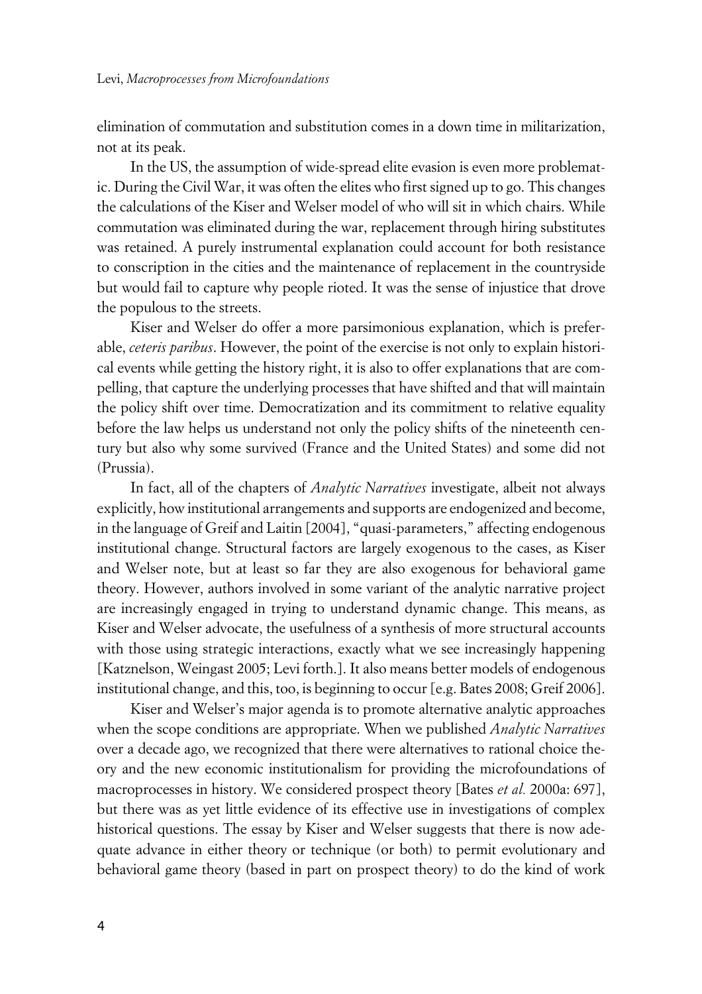elimination of commutation and substitution comes in a down time in militarization, not at its peak.

In the US, the assumption of wide-spread elite evasion is even more problematic. During the Civil War, it was often the elites who first signed up to go. This changes the calculations of the Kiser and Welser model of who will sit in which chairs. While commutation was eliminated during the war, replacement through hiring substitutes was retained. A purely instrumental explanation could account for both resistance to conscription in the cities and the maintenance of replacement in the countryside but would fail to capture why people rioted. It was the sense of injustice that drove the populous to the streets.

Kiser and Welser do offer a more parsimonious explanation, which is preferable, *ceteris paribus*. However, the point of the exercise is not only to explain historical events while getting the history right, it is also to offer explanations that are compelling, that capture the underlying processes that have shifted and that will maintain the policy shift over time. Democratization and its commitment to relative equality before the law helps us understand not only the policy shifts of the nineteenth century but also why some survived (France and the United States) and some did not (Prussia).

In fact, all of the chapters of *Analytic Narratives* investigate, albeit not always explicitly, how institutional arrangements and supports are endogenized and become, in the language of Greif and Laitin [2004], "quasi-parameters," affecting endogenous institutional change. Structural factors are largely exogenous to the cases, as Kiser and Welser note, but at least so far they are also exogenous for behavioral game theory. However, authors involved in some variant of the analytic narrative project are increasingly engaged in trying to understand dynamic change. This means, as Kiser and Welser advocate, the usefulness of a synthesis of more structural accounts with those using strategic interactions, exactly what we see increasingly happening [Katznelson, Weingast 2005; Levi forth.]. It also means better models of endogenous institutional change, and this, too, is beginning to occur [e.g. Bates 2008; Greif 2006].

Kiser and Welser's major agenda is to promote alternative analytic approaches when the scope conditions are appropriate. When we published *Analytic Narratives* over a decade ago, we recognized that there were alternatives to rational choice theory and the new economic institutionalism for providing the microfoundations of macroprocesses in history. We considered prospect theory [Bates *et al.* 2000a: 697], but there was as yet little evidence of its effective use in investigations of complex historical questions. The essay by Kiser and Welser suggests that there is now adequate advance in either theory or technique (or both) to permit evolutionary and behavioral game theory (based in part on prospect theory) to do the kind of work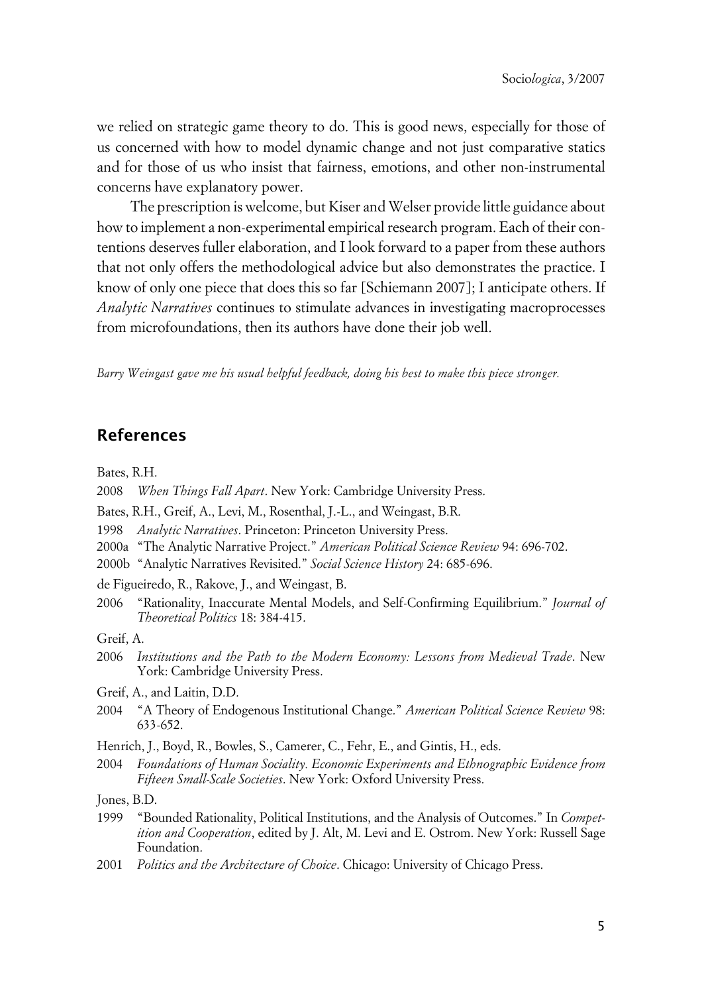we relied on strategic game theory to do. This is good news, especially for those of us concerned with how to model dynamic change and not just comparative statics and for those of us who insist that fairness, emotions, and other non-instrumental concerns have explanatory power.

The prescription is welcome, but Kiser and Welser provide little guidance about how to implement a non-experimental empirical research program. Each of their contentions deserves fuller elaboration, and I look forward to a paper from these authors that not only offers the methodological advice but also demonstrates the practice. I know of only one piece that does this so far [Schiemann 2007]; I anticipate others. If *Analytic Narratives* continues to stimulate advances in investigating macroprocesses from microfoundations, then its authors have done their job well.

*Barry Weingast gave me his usual helpful feedback, doing his best to make this piece stronger.*

### **References**

Bates, R.H.

- 2008 *When Things Fall Apart*. New York: Cambridge University Press.
- Bates, R.H., Greif, A., Levi, M., Rosenthal, J.-L., and Weingast, B.R.
- 1998 *Analytic Narratives*. Princeton: Princeton University Press.
- 2000a "The Analytic Narrative Project." *American Political Science Review* 94: 696-702.
- 2000b "Analytic Narratives Revisited." *Social Science History* 24: 685-696.
- de Figueiredo, R., Rakove, J., and Weingast, B.
- 2006 "Rationality, Inaccurate Mental Models, and Self-Confirming Equilibrium." *Journal of Theoretical Politics* 18: 384-415.
- Greif, A.
- 2006 *Institutions and the Path to the Modern Economy: Lessons from Medieval Trade*. New York: Cambridge University Press.
- Greif, A., and Laitin, D.D.
- 2004 "A Theory of Endogenous Institutional Change." *American Political Science Review* 98: 633-652.
- Henrich, J., Boyd, R., Bowles, S., Camerer, C., Fehr, E., and Gintis, H., eds.
- 2004 *Foundations of Human Sociality. Economic Experiments and Ethnographic Evidence from Fifteen Small-Scale Societies*. New York: Oxford University Press.

Jones, B.D.

- 1999 "Bounded Rationality, Political Institutions, and the Analysis of Outcomes." In *Competition and Cooperation*, edited by J. Alt, M. Levi and E. Ostrom. New York: Russell Sage Foundation.
- 2001 *Politics and the Architecture of Choice*. Chicago: University of Chicago Press.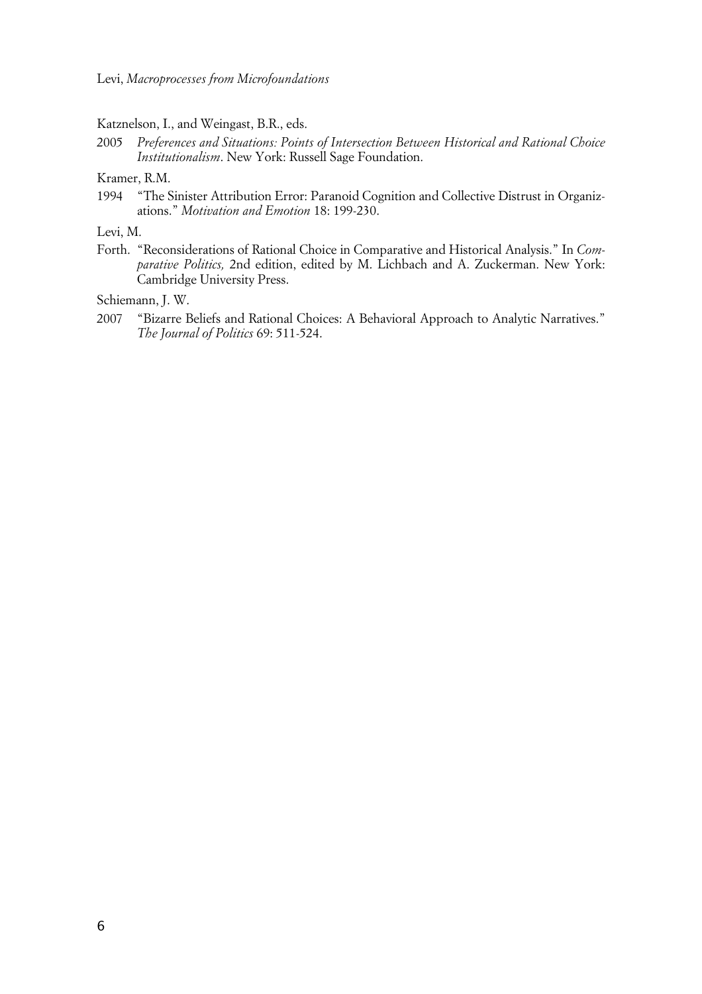Katznelson, I., and Weingast, B.R., eds.

2005 *Preferences and Situations: Points of Intersection Between Historical and Rational Choice Institutionalism*. New York: Russell Sage Foundation.

Kramer, R.M.

1994 "The Sinister Attribution Error: Paranoid Cognition and Collective Distrust in Organizations." *Motivation and Emotion* 18: 199-230.

Levi, M.

Forth. "Reconsiderations of Rational Choice in Comparative and Historical Analysis." In *Comparative Politics,* 2nd edition, edited by M. Lichbach and A. Zuckerman. New York: Cambridge University Press.

Schiemann, J. W.

2007 "Bizarre Beliefs and Rational Choices: A Behavioral Approach to Analytic Narratives." *The Journal of Politics* 69: 511-524.